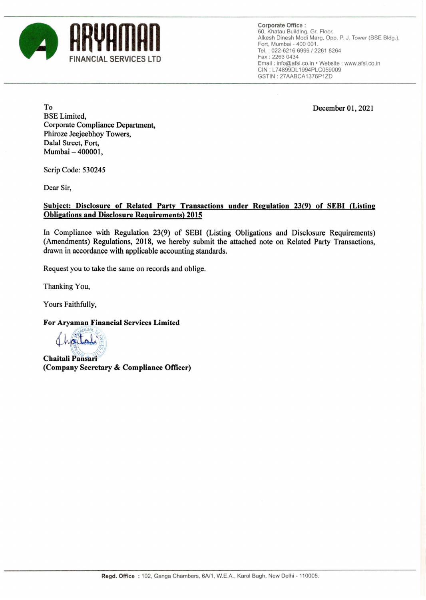

**Corporate Office:**  60. Khatau Building. Gr. Floor. Alkesh Dinesh Modi Marg. Opp. P. J. Tower (BSE Bldg.). Fort. Mumbai - 400 001 . Tel. : 022-6216 6999/2261 8264 Fax: 2263 0434 Email : info@afsl.co.in • Website : www.afsl.co.in CIN : L74899DL 1994PLC059009 GSTIN: 27AABCA1376P1ZD

**December 01, 2021** 

**To BSE Limited, Corporate Compliance Department, Phiroze Jeejeebhoy Towers, Dalal Street, Fort, Mumbai - 400001,** 

**Scrip Code: 530245** 

**Dear Sir,** 

## **Subject: Disclosure of Related Party Transactions under Reeulation 23(9) of SEBI (Listine Obligations and Disclosure Requirements) 2015**

**In Compliance with Regulation 23(9) of SEBI (Listing Obligations and Disclosure Requirements) (Amendments) Regulations, 2018, we hereby submit the attached note on Related Party Transactions, drawn in accordance with applicable accounting standards.** 

**Request you to take the same on records and oblige.** 

**Thanking You,** 

**Yours Faithfully,** 

**For Aryaman Financial Services Limited** 

 $M_{\rm CIM}$  of  $\sqrt{\alpha}$  (look)  $\mathbb{R}$  /6)

 $Chaitali Pansari$ **(Company Secretary & Compliance Officer)**